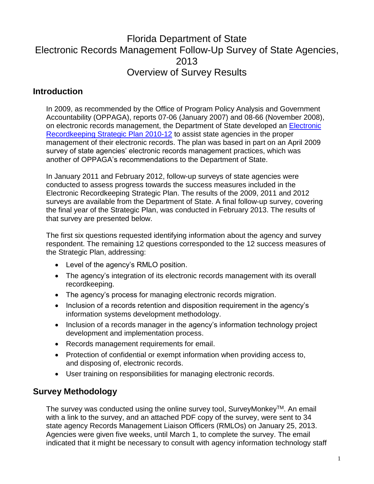# Florida Department of State Electronic Records Management Follow-Up Survey of State Agencies, 2013 Overview of Survey Results

## **Introduction**

In 2009, as recommended by the Office of Program Policy Analysis and Government Accountability (OPPAGA), reports 07-06 (January 2007) and 08-66 (November 2008), on electronic records management, the Department of State developed an [Electronic](http://dlis.dos.state.fl.us/recordsmgmt/pdfs/ElectronicRecordkeepingStrategicPlan2010-2012.pdf)  [Recordkeeping Strategic Plan 2010-12](http://dlis.dos.state.fl.us/recordsmgmt/pdfs/ElectronicRecordkeepingStrategicPlan2010-2012.pdf) to assist state agencies in the proper management of their electronic records. The plan was based in part on an April 2009 survey of state agencies' electronic records management practices, which was another of OPPAGA's recommendations to the Department of State.

In January 2011 and February 2012, follow-up surveys of state agencies were conducted to assess progress towards the success measures included in the Electronic Recordkeeping Strategic Plan. The results of the 2009, 2011 and 2012 surveys are available from the Department of State. A final follow-up survey, covering the final year of the Strategic Plan, was conducted in February 2013. The results of that survey are presented below.

The first six questions requested identifying information about the agency and survey respondent. The remaining 12 questions corresponded to the 12 success measures of the Strategic Plan, addressing:

- Level of the agency's RMLO position.
- The agency's integration of its electronic records management with its overall recordkeeping.
- The agency's process for managing electronic records migration.
- Inclusion of a records retention and disposition requirement in the agency's information systems development methodology.
- Inclusion of a records manager in the agency's information technology project development and implementation process.
- Records management requirements for email.
- Protection of confidential or exempt information when providing access to, and disposing of, electronic records.
- User training on responsibilities for managing electronic records.

### **Survey Methodology**

The survey was conducted using the online survey tool, SurveyMonkey™. An email with a link to the survey, and an attached PDF copy of the survey, were sent to 34 state agency Records Management Liaison Officers (RMLOs) on January 25, 2013. Agencies were given five weeks, until March 1, to complete the survey. The email indicated that it might be necessary to consult with agency information technology staff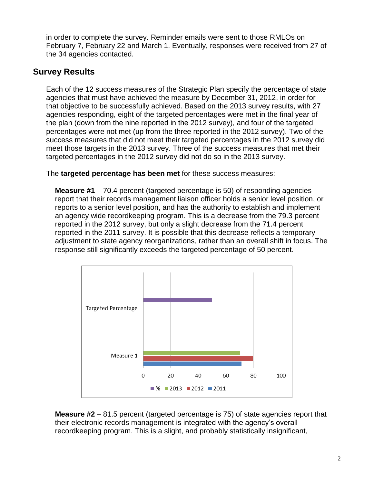in order to complete the survey. Reminder emails were sent to those RMLOs on February 7, February 22 and March 1. Eventually, responses were received from 27 of the 34 agencies contacted.

## **Survey Results**

Each of the 12 success measures of the Strategic Plan specify the percentage of state agencies that must have achieved the measure by December 31, 2012, in order for that objective to be successfully achieved. Based on the 2013 survey results, with 27 agencies responding, eight of the targeted percentages were met in the final year of the plan (down from the nine reported in the 2012 survey), and four of the targeted percentages were not met (up from the three reported in the 2012 survey). Two of the success measures that did not meet their targeted percentages in the 2012 survey did meet those targets in the 2013 survey. Three of the success measures that met their targeted percentages in the 2012 survey did not do so in the 2013 survey.

The **targeted percentage has been met** for these success measures:

**Measure #1** – 70.4 percent (targeted percentage is 50) of responding agencies report that their records management liaison officer holds a senior level position, or reports to a senior level position, and has the authority to establish and implement an agency wide recordkeeping program. This is a decrease from the 79.3 percent reported in the 2012 survey, but only a slight decrease from the 71.4 percent reported in the 2011 survey. It is possible that this decrease reflects a temporary adjustment to state agency reorganizations, rather than an overall shift in focus. The response still significantly exceeds the targeted percentage of 50 percent.



**Measure #2** – 81.5 percent (targeted percentage is 75) of state agencies report that their electronic records management is integrated with the agency's overall recordkeeping program. This is a slight, and probably statistically insignificant,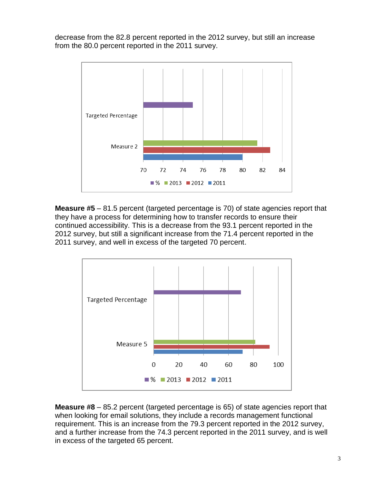decrease from the 82.8 percent reported in the 2012 survey, but still an increase from the 80.0 percent reported in the 2011 survey.



**Measure #5** – 81.5 percent (targeted percentage is 70) of state agencies report that they have a process for determining how to transfer records to ensure their continued accessibility. This is a decrease from the 93.1 percent reported in the 2012 survey, but still a significant increase from the 71.4 percent reported in the 2011 survey, and well in excess of the targeted 70 percent.



**Measure #8** – 85.2 percent (targeted percentage is 65) of state agencies report that when looking for email solutions, they include a records management functional requirement. This is an increase from the 79.3 percent reported in the 2012 survey, and a further increase from the 74.3 percent reported in the 2011 survey, and is well in excess of the targeted 65 percent.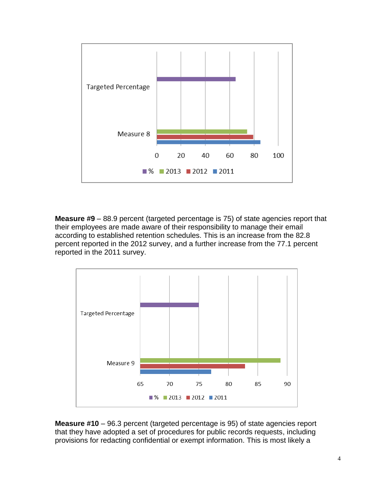

**Measure #9** – 88.9 percent (targeted percentage is 75) of state agencies report that their employees are made aware of their responsibility to manage their email according to established retention schedules. This is an increase from the 82.8 percent reported in the 2012 survey, and a further increase from the 77.1 percent reported in the 2011 survey.



**Measure #10** – 96.3 percent (targeted percentage is 95) of state agencies report that they have adopted a set of procedures for public records requests, including provisions for redacting confidential or exempt information. This is most likely a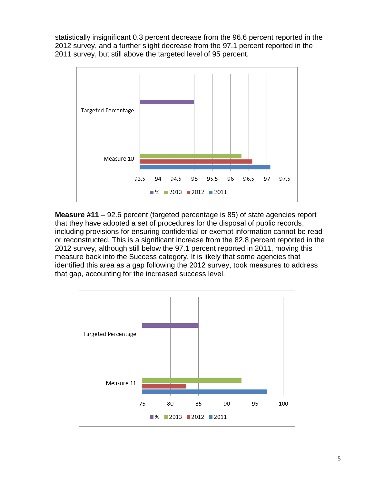statistically insignificant 0.3 percent decrease from the 96.6 percent reported in the 2012 survey, and a further slight decrease from the 97.1 percent reported in the 2011 survey, but still above the targeted level of 95 percent.



**Measure #11** – 92.6 percent (targeted percentage is 85) of state agencies report that they have adopted a set of procedures for the disposal of public records, including provisions for ensuring confidential or exempt information cannot be read or reconstructed. This is a significant increase from the 82.8 percent reported in the 2012 survey, although still below the 97.1 percent reported in 2011, moving this measure back into the Success category. It is likely that some agencies that identified this area as a gap following the 2012 survey, took measures to address that gap, accounting for the increased success level.

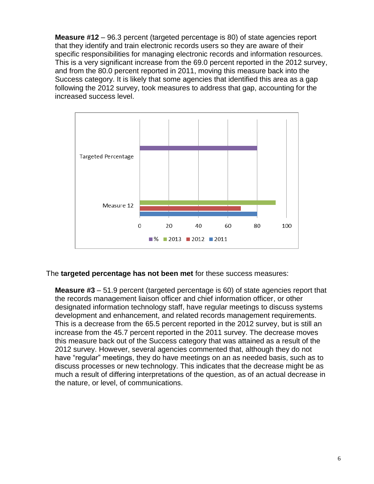**Measure #12** – 96.3 percent (targeted percentage is 80) of state agencies report that they identify and train electronic records users so they are aware of their specific responsibilities for managing electronic records and information resources. This is a very significant increase from the 69.0 percent reported in the 2012 survey, and from the 80.0 percent reported in 2011, moving this measure back into the Success category. It is likely that some agencies that identified this area as a gap following the 2012 survey, took measures to address that gap, accounting for the increased success level.



#### The **targeted percentage has not been met** for these success measures:

**Measure #3** – 51.9 percent (targeted percentage is 60) of state agencies report that the records management liaison officer and chief information officer, or other designated information technology staff, have regular meetings to discuss systems development and enhancement, and related records management requirements. This is a decrease from the 65.5 percent reported in the 2012 survey, but is still an increase from the 45.7 percent reported in the 2011 survey. The decrease moves this measure back out of the Success category that was attained as a result of the 2012 survey. However, several agencies commented that, although they do not have "regular" meetings, they do have meetings on an as needed basis, such as to discuss processes or new technology. This indicates that the decrease might be as much a result of differing interpretations of the question, as of an actual decrease in the nature, or level, of communications.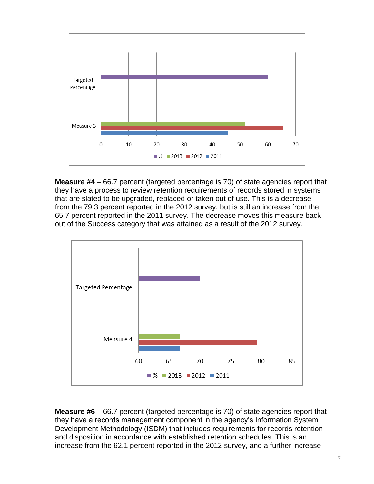

**Measure #4** – 66.7 percent (targeted percentage is 70) of state agencies report that they have a process to review retention requirements of records stored in systems that are slated to be upgraded, replaced or taken out of use. This is a decrease from the 79.3 percent reported in the 2012 survey, but is still an increase from the 65.7 percent reported in the 2011 survey. The decrease moves this measure back out of the Success category that was attained as a result of the 2012 survey.



**Measure #6** – 66.7 percent (targeted percentage is 70) of state agencies report that they have a records management component in the agency's Information System Development Methodology (ISDM) that includes requirements for records retention and disposition in accordance with established retention schedules. This is an increase from the 62.1 percent reported in the 2012 survey, and a further increase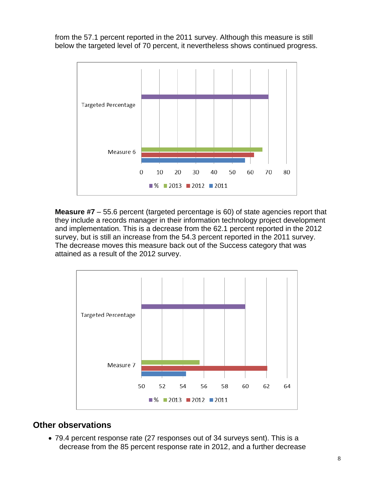from the 57.1 percent reported in the 2011 survey. Although this measure is still below the targeted level of 70 percent, it nevertheless shows continued progress.



**Measure #7** – 55.6 percent (targeted percentage is 60) of state agencies report that they include a records manager in their information technology project development and implementation. This is a decrease from the 62.1 percent reported in the 2012 survey, but is still an increase from the 54.3 percent reported in the 2011 survey. The decrease moves this measure back out of the Success category that was attained as a result of the 2012 survey.



## **Other observations**

 79.4 percent response rate (27 responses out of 34 surveys sent). This is a decrease from the 85 percent response rate in 2012, and a further decrease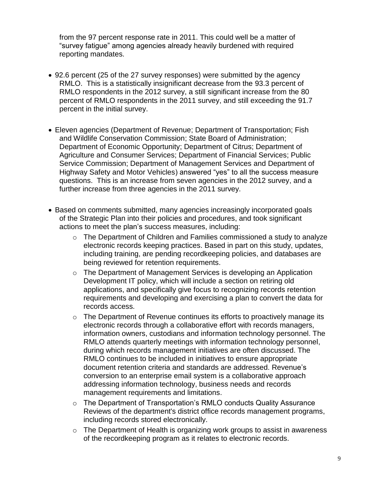from the 97 percent response rate in 2011. This could well be a matter of "survey fatigue" among agencies already heavily burdened with required reporting mandates.

- 92.6 percent (25 of the 27 survey responses) were submitted by the agency RMLO. This is a statistically insignificant decrease from the 93.3 percent of RMLO respondents in the 2012 survey, a still significant increase from the 80 percent of RMLO respondents in the 2011 survey, and still exceeding the 91.7 percent in the initial survey.
- Eleven agencies (Department of Revenue; Department of Transportation; Fish and Wildlife Conservation Commission; State Board of Administration; Department of Economic Opportunity; Department of Citrus; Department of Agriculture and Consumer Services; Department of Financial Services; Public Service Commission; Department of Management Services and Department of Highway Safety and Motor Vehicles) answered "yes" to all the success measure questions. This is an increase from seven agencies in the 2012 survey, and a further increase from three agencies in the 2011 survey.
- Based on comments submitted, many agencies increasingly incorporated goals of the Strategic Plan into their policies and procedures, and took significant actions to meet the plan's success measures, including:
	- o The Department of Children and Families commissioned a study to analyze electronic records keeping practices. Based in part on this study, updates, including training, are pending recordkeeping policies, and databases are being reviewed for retention requirements.
	- o The Department of Management Services is developing an Application Development IT policy, which will include a section on retiring old applications, and specifically give focus to recognizing records retention requirements and developing and exercising a plan to convert the data for records access.
	- $\circ$  The Department of Revenue continues its efforts to proactively manage its electronic records through a collaborative effort with records managers, information owners, custodians and information technology personnel. The RMLO attends quarterly meetings with information technology personnel, during which records management initiatives are often discussed. The RMLO continues to be included in initiatives to ensure appropriate document retention criteria and standards are addressed. Revenue's conversion to an enterprise email system is a collaborative approach addressing information technology, business needs and records management requirements and limitations.
	- $\circ$  The Department of Transportation's RMLO conducts Quality Assurance Reviews of the department's district office records management programs, including records stored electronically.
	- o The Department of Health is organizing work groups to assist in awareness of the recordkeeping program as it relates to electronic records.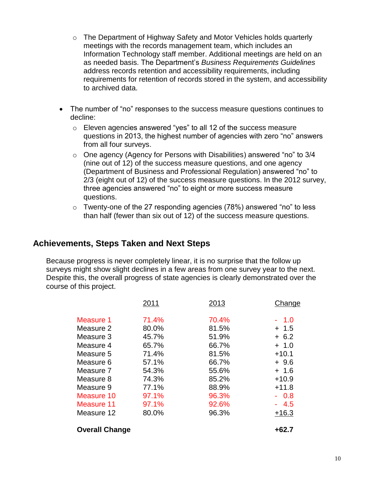- o The Department of Highway Safety and Motor Vehicles holds quarterly meetings with the records management team, which includes an Information Technology staff member. Additional meetings are held on an as needed basis. The Department's *Business Requirements Guidelines* address records retention and accessibility requirements, including requirements for retention of records stored in the system, and accessibility to archived data.
- The number of "no" responses to the success measure questions continues to decline:
	- o Eleven agencies answered "yes" to all 12 of the success measure questions in 2013, the highest number of agencies with zero "no" answers from all four surveys.
	- o One agency (Agency for Persons with Disabilities) answered "no" to 3/4 (nine out of 12) of the success measure questions, and one agency (Department of Business and Professional Regulation) answered "no" to 2/3 (eight out of 12) of the success measure questions. In the 2012 survey, three agencies answered "no" to eight or more success measure questions.
	- o Twenty-one of the 27 responding agencies (78%) answered "no" to less than half (fewer than six out of 12) of the success measure questions.

### **Achievements, Steps Taken and Next Steps**

Because progress is never completely linear, it is no surprise that the follow up surveys might show slight declines in a few areas from one survey year to the next. Despite this, the overall progress of state agencies is clearly demonstrated over the course of this project.

|                       | 2011  | 2013  | Change  |
|-----------------------|-------|-------|---------|
| Measure 1             | 71.4% | 70.4% | 1.0     |
| Measure 2             | 80.0% | 81.5% | $+ 1.5$ |
| Measure 3             | 45.7% | 51.9% | $+6.2$  |
| Measure 4             | 65.7% | 66.7% | $+ 1.0$ |
| Measure 5             | 71.4% | 81.5% | $+10.1$ |
| Measure 6             | 57.1% | 66.7% | $+9.6$  |
| Measure 7             | 54.3% | 55.6% | $+ 1.6$ |
| Measure 8             | 74.3% | 85.2% | $+10.9$ |
| Measure 9             | 77.1% | 88.9% | $+11.8$ |
| <b>Measure 10</b>     | 97.1% | 96.3% | $-0.8$  |
| Measure 11            | 97.1% | 92.6% | 4.5     |
| Measure 12            | 80.0% | 96.3% | $+16.3$ |
| <b>Overall Change</b> |       |       | $+62.7$ |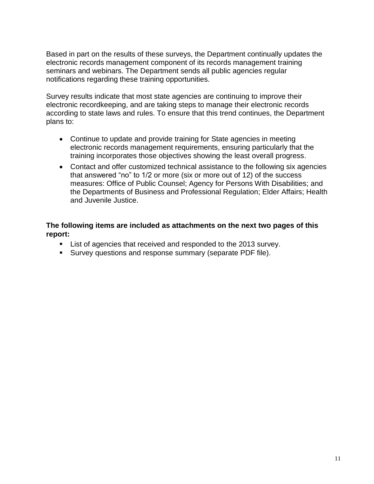Based in part on the results of these surveys, the Department continually updates the electronic records management component of its records management training seminars and webinars. The Department sends all public agencies regular notifications regarding these training opportunities.

Survey results indicate that most state agencies are continuing to improve their electronic recordkeeping, and are taking steps to manage their electronic records according to state laws and rules. To ensure that this trend continues, the Department plans to:

- Continue to update and provide training for State agencies in meeting electronic records management requirements, ensuring particularly that the training incorporates those objectives showing the least overall progress.
- Contact and offer customized technical assistance to the following six agencies that answered "no" to 1/2 or more (six or more out of 12) of the success measures: Office of Public Counsel; Agency for Persons With Disabilities; and the Departments of Business and Professional Regulation; Elder Affairs; Health and Juvenile Justice.

#### **The following items are included as attachments on the next two pages of this report:**

- **List of agencies that received and responded to the 2013 survey.**
- Survey questions and response summary (separate PDF file).